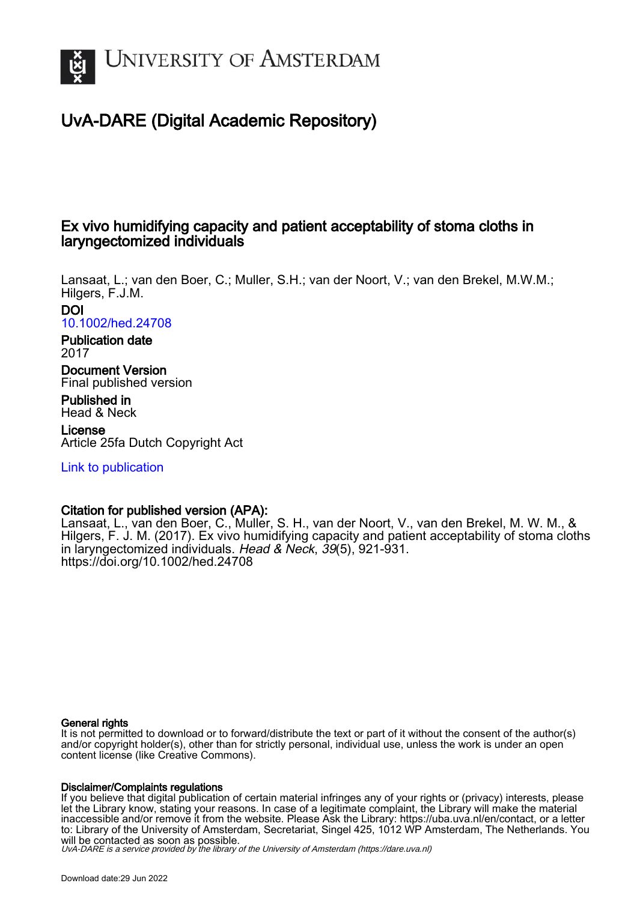

# UvA-DARE (Digital Academic Repository)

## Ex vivo humidifying capacity and patient acceptability of stoma cloths in laryngectomized individuals

Lansaat, L.; van den Boer, C.; Muller, S.H.; van der Noort, V.; van den Brekel, M.W.M.; Hilgers, F.J.M. DOI

[10.1002/hed.24708](https://doi.org/10.1002/hed.24708)

Publication date 2017

Document Version Final published version

Published in Head & Neck

License Article 25fa Dutch Copyright Act

[Link to publication](https://dare.uva.nl/personal/pure/en/publications/ex-vivo-humidifying-capacity-and-patient-acceptability-of-stoma-cloths-in-laryngectomized-individuals(fbcf68cf-a2f6-4f6d-bd35-29864ed1bb39).html)

## Citation for published version (APA):

Lansaat, L., van den Boer, C., Muller, S. H., van der Noort, V., van den Brekel, M. W. M., & Hilgers, F. J. M. (2017). Ex vivo humidifying capacity and patient acceptability of stoma cloths in laryngectomized individuals. Head & Neck, 39(5), 921-931. <https://doi.org/10.1002/hed.24708>

## General rights

It is not permitted to download or to forward/distribute the text or part of it without the consent of the author(s) and/or copyright holder(s), other than for strictly personal, individual use, unless the work is under an open content license (like Creative Commons).

## Disclaimer/Complaints regulations

If you believe that digital publication of certain material infringes any of your rights or (privacy) interests, please let the Library know, stating your reasons. In case of a legitimate complaint, the Library will make the material inaccessible and/or remove it from the website. Please Ask the Library: https://uba.uva.nl/en/contact, or a letter to: Library of the University of Amsterdam, Secretariat, Singel 425, 1012 WP Amsterdam, The Netherlands. You will be contacted as soon as possible.

UvA-DARE is a service provided by the library of the University of Amsterdam (http*s*://dare.uva.nl)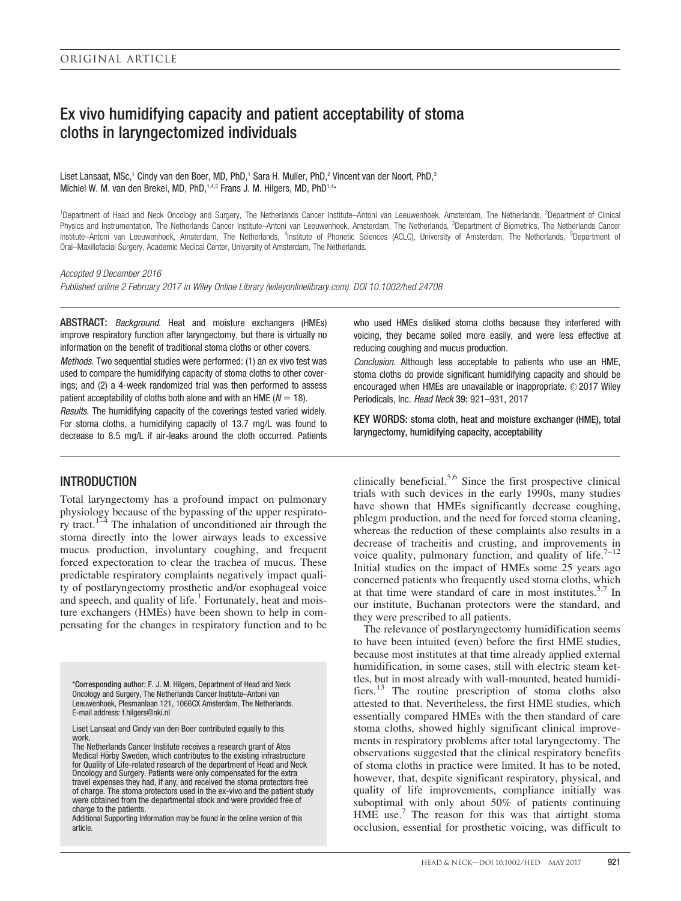## Ex vivo humidifying capacity and patient acceptability of stoma cloths in laryngectomized individuals

Liset Lansaat, MSc,<sup>1</sup> Cindy van den Boer, MD, PhD,<sup>1</sup> Sara H. Muller, PhD,<sup>2</sup> Vincent van der Noort, PhD,<sup>3</sup> Michiel W. M. van den Brekel, MD, PhD, 1,4,5 Frans J. M. Hilgers, MD, PhD<sup>1,4\*</sup>

<sup>1</sup>Department of Head and Neck Oncology and Surgery, The Netherlands Cancer Institute–Antoni van Leeuwenhoek, Amsterdam, The Netherlands, <sup>2</sup>Department of Clinical Physics and Instrumentation, The Netherlands Cancer Institute–Antoni van Leeuwenhoek, Amsterdam, The Netherlands, <sup>3</sup>Department of Biometrics, The Netherlands Cancer Institute–Antoni van Leeuwenhoek, Amsterdam, The Netherlands, <sup>4</sup>Institute of Phonetic Sciences (ACLC), University of Amsterdam, The Netherlands, <sup>5</sup>Department of Oral–Maxillofacial Surgery, Academic Medical Center, University of Amsterdam, The Netherlands.

Accepted 9 December 2016

Published online 2 February 2017 in Wiley Online Library (wileyonlinelibrary.com). DOI 10.1002/hed.24708

ABSTRACT: Background. Heat and moisture exchangers (HMEs) improve respiratory function after laryngectomy, but there is virtually no information on the benefit of traditional stoma cloths or other covers. Methods. Two sequential studies were performed: (1) an ex vivo test was

used to compare the humidifying capacity of stoma cloths to other coverings; and (2) a 4-week randomized trial was then performed to assess patient acceptability of cloths both alone and with an HME ( $N = 18$ ).

Results. The humidifying capacity of the coverings tested varied widely. For stoma cloths, a humidifying capacity of 13.7 mg/L was found to decrease to 8.5 mg/L if air-leaks around the cloth occurred. Patients

## INTRODUCTION

Total laryngectomy has a profound impact on pulmonary physiology because of the bypassing of the upper respiratory tract.<sup>1–4</sup> The inhalation of unconditioned air through the stoma directly into the lower airways leads to excessive mucus production, involuntary coughing, and frequent forced expectoration to clear the trachea of mucus. These predictable respiratory complaints negatively impact quality of postlaryngectomy prosthetic and/or esophageal voice and speech, and quality of life.<sup>1</sup> Fortunately, heat and moisture exchangers (HMEs) have been shown to help in compensating for the changes in respiratory function and to be

\*Corresponding author: F. J. M. Hilgers, Department of Head and Neck Oncology and Surgery, The Netherlands Cancer Institute–Antoni van Leeuwenhoek, Plesmanlaan 121, 1066CX Amsterdam, The Netherlands. E-mail address: f.hilgers@nki.nl

Liset Lansaat and Cindy van den Boer contributed equally to this work.

The Netherlands Cancer Institute receives a research grant of Atos Medical Hörby Sweden, which contributes to the existing infrastructure for Quality of Life-related research of the department of Head and Neck Oncology and Surgery. Patients were only compensated for the extra travel expenses they had, if any, and received the stoma protectors free of charge. The stoma protectors used in the ex-vivo and the patient study were obtained from the departmental stock and were provided free of charge to the patients.

Additional Supporting Information may be found in the online version of this article.

who used HMEs disliked stoma cloths because they interfered with voicing, they became soiled more easily, and were less effective at reducing coughing and mucus production.

Conclusion. Although less acceptable to patients who use an HME, stoma cloths do provide significant humidifying capacity and should be encouraged when HMEs are unavailable or inappropriate.  $\odot$  2017 Wiley Periodicals, Inc. Head Neck 39: 921–931, 2017

KEY WORDS: stoma cloth, heat and moisture exchanger (HME), total laryngectomy, humidifying capacity, acceptability

clinically beneficial.<sup>5,6</sup> Since the first prospective clinical trials with such devices in the early 1990s, many studies have shown that HMEs significantly decrease coughing, phlegm production, and the need for forced stoma cleaning, whereas the reduction of these complaints also results in a decrease of tracheitis and crusting, and improvements in voice quality, pulmonary function, and quality of life.<sup>7-12</sup> Initial studies on the impact of HMEs some 25 years ago concerned patients who frequently used stoma cloths, which at that time were standard of care in most institutes.<sup>5,7</sup> In our institute, Buchanan protectors were the standard, and they were prescribed to all patients.

The relevance of postlaryngectomy humidification seems to have been intuited (even) before the first HME studies, because most institutes at that time already applied external humidification, in some cases, still with electric steam kettles, but in most already with wall-mounted, heated humidifiers.<sup>13</sup> The routine prescription of stoma cloths also attested to that. Nevertheless, the first HME studies, which essentially compared HMEs with the then standard of care stoma cloths, showed highly significant clinical improvements in respiratory problems after total laryngectomy. The observations suggested that the clinical respiratory benefits of stoma cloths in practice were limited. It has to be noted, however, that, despite significant respiratory, physical, and quality of life improvements, compliance initially was suboptimal with only about 50% of patients continuing HME use.<sup>7</sup> The reason for this was that airtight stoma occlusion, essential for prosthetic voicing, was difficult to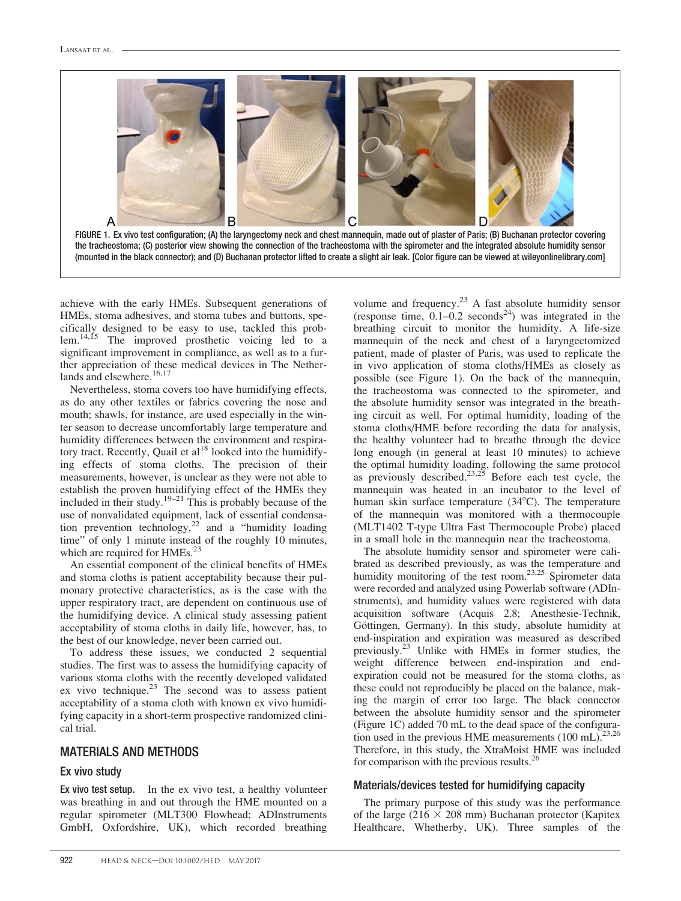



achieve with the early HMEs. Subsequent generations of HMEs, stoma adhesives, and stoma tubes and buttons, specifically designed to be easy to use, tackled this problem.<sup>14,15</sup> The improved prosthetic voicing led to a significant improvement in compliance, as well as to a further appreciation of these medical devices in The Netherlands and elsewhere.<sup>16,17</sup>

Nevertheless, stoma covers too have humidifying effects, as do any other textiles or fabrics covering the nose and mouth; shawls, for instance, are used especially in the winter season to decrease uncomfortably large temperature and humidity differences between the environment and respiratory tract. Recently, Quail et al<sup>18</sup> looked into the humidifying effects of stoma cloths. The precision of their measurements, however, is unclear as they were not able to establish the proven humidifying effect of the HMEs they included in their study.<sup>19–21</sup> This is probably because of the use of nonvalidated equipment, lack of essential condensation prevention technology,<sup>22</sup> and a "humidity loading time" of only 1 minute instead of the roughly 10 minutes, which are required for HMEs.<sup>23</sup>

An essential component of the clinical benefits of HMEs and stoma cloths is patient acceptability because their pulmonary protective characteristics, as is the case with the upper respiratory tract, are dependent on continuous use of the humidifying device. A clinical study assessing patient acceptability of stoma cloths in daily life, however, has, to the best of our knowledge, never been carried out.

To address these issues, we conducted 2 sequential studies. The first was to assess the humidifying capacity of various stoma cloths with the recently developed validated ex vivo technique. $2^3$  The second was to assess patient acceptability of a stoma cloth with known ex vivo humidifying capacity in a short-term prospective randomized clinical trial.

## MATERIALS AND METHODS

#### Ex vivo study

Ex vivo test setup. In the ex vivo test, a healthy volunteer was breathing in and out through the HME mounted on a regular spirometer (MLT300 Flowhead; ADInstruments GmbH, Oxfordshire, UK), which recorded breathing

volume and frequency.<sup>23</sup> A fast absolute humidity sensor (response time,  $0.1-0.2$  seconds<sup>24</sup>) was integrated in the breathing circuit to monitor the humidity. A life-size mannequin of the neck and chest of a laryngectomized patient, made of plaster of Paris, was used to replicate the in vivo application of stoma cloths/HMEs as closely as possible (see Figure 1). On the back of the mannequin, the tracheostoma was connected to the spirometer, and the absolute humidity sensor was integrated in the breathing circuit as well. For optimal humidity, loading of the stoma cloths/HME before recording the data for analysis, the healthy volunteer had to breathe through the device long enough (in general at least 10 minutes) to achieve the optimal humidity loading, following the same protocol as previously described.<sup>23,25</sup> Before each test cycle, the mannequin was heated in an incubator to the level of human skin surface temperature  $(34^{\circ}C)$ . The temperature of the mannequin was monitored with a thermocouple (MLT1402 T-type Ultra Fast Thermocouple Probe) placed in a small hole in the mannequin near the tracheostoma.

The absolute humidity sensor and spirometer were calibrated as described previously, as was the temperature and humidity monitoring of the test room.<sup>23,25</sup> Spirometer data were recorded and analyzed using Powerlab software (ADInstruments), and humidity values were registered with data acquisition software (Acquis 2.8; Anesthesie-Technik, Göttingen, Germany). In this study, absolute humidity at end-inspiration and expiration was measured as described previously.23 Unlike with HMEs in former studies, the weight difference between end-inspiration and endexpiration could not be measured for the stoma cloths, as these could not reproducibly be placed on the balance, making the margin of error too large. The black connector between the absolute humidity sensor and the spirometer (Figure 1C) added 70 mL to the dead space of the configuration used in the previous HME measurements  $(100 \text{ mL})$ .<sup>23,26</sup> Therefore, in this study, the XtraMoist HME was included for comparison with the previous results.<sup>26</sup>

#### Materials/devices tested for humidifying capacity

The primary purpose of this study was the performance of the large (216  $\times$  208 mm) Buchanan protector (Kapitex Healthcare, Whetherby, UK). Three samples of the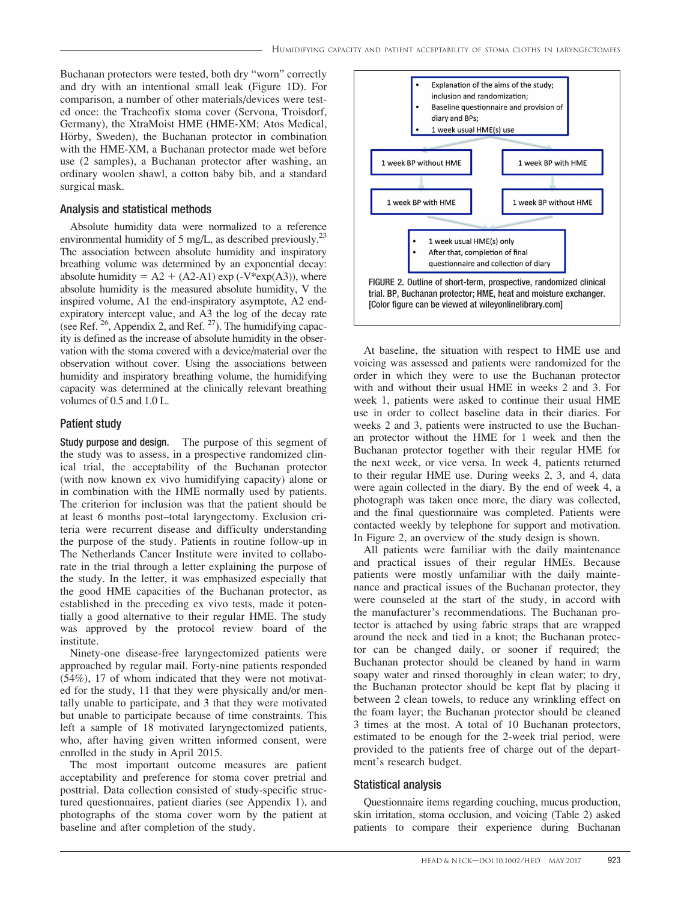Buchanan protectors were tested, both dry "worn" correctly and dry with an intentional small leak (Figure 1D). For comparison, a number of other materials/devices were tested once: the Tracheofix stoma cover (Servona, Troisdorf, Germany), the XtraMoist HME (HME-XM; Atos Medical, Hörby, Sweden), the Buchanan protector in combination with the HME-XM, a Buchanan protector made wet before use (2 samples), a Buchanan protector after washing, an ordinary woolen shawl, a cotton baby bib, and a standard surgical mask.

#### Analysis and statistical methods

Absolute humidity data were normalized to a reference environmental humidity of 5 mg/L, as described previously.<sup>23</sup> The association between absolute humidity and inspiratory breathing volume was determined by an exponential decay: absolute humidity =  $A2 + (A2-A1) \exp(-V^*exp(A3))$ , where absolute humidity is the measured absolute humidity, V the inspired volume, A1 the end-inspiratory asymptote, A2 endexpiratory intercept value, and A3 the log of the decay rate (see Ref.  $26$ , Appendix 2, and Ref.  $27$ ). The humidifying capacity is defined as the increase of absolute humidity in the observation with the stoma covered with a device/material over the observation without cover. Using the associations between humidity and inspiratory breathing volume, the humidifying capacity was determined at the clinically relevant breathing volumes of 0.5 and 1.0 L.

#### Patient study

Study purpose and design. The purpose of this segment of the study was to assess, in a prospective randomized clinical trial, the acceptability of the Buchanan protector (with now known ex vivo humidifying capacity) alone or in combination with the HME normally used by patients. The criterion for inclusion was that the patient should be at least 6 months post–total laryngectomy. Exclusion criteria were recurrent disease and difficulty understanding the purpose of the study. Patients in routine follow-up in The Netherlands Cancer Institute were invited to collaborate in the trial through a letter explaining the purpose of the study. In the letter, it was emphasized especially that the good HME capacities of the Buchanan protector, as established in the preceding ex vivo tests, made it potentially a good alternative to their regular HME. The study was approved by the protocol review board of the institute.

Ninety-one disease-free laryngectomized patients were approached by regular mail. Forty-nine patients responded (54%), 17 of whom indicated that they were not motivated for the study, 11 that they were physically and/or mentally unable to participate, and 3 that they were motivated but unable to participate because of time constraints. This left a sample of 18 motivated laryngectomized patients, who, after having given written informed consent, were enrolled in the study in April 2015.

The most important outcome measures are patient acceptability and preference for stoma cover pretrial and posttrial. Data collection consisted of study-specific structured questionnaires, patient diaries (see Appendix 1), and photographs of the stoma cover worn by the patient at baseline and after completion of the study.



At baseline, the situation with respect to HME use and voicing was assessed and patients were randomized for the order in which they were to use the Buchanan protector with and without their usual HME in weeks 2 and 3. For week 1, patients were asked to continue their usual HME use in order to collect baseline data in their diaries. For weeks 2 and 3, patients were instructed to use the Buchanan protector without the HME for 1 week and then the Buchanan protector together with their regular HME for the next week, or vice versa. In week 4, patients returned to their regular HME use. During weeks 2, 3, and 4, data were again collected in the diary. By the end of week 4, a photograph was taken once more, the diary was collected, and the final questionnaire was completed. Patients were contacted weekly by telephone for support and motivation. In Figure 2, an overview of the study design is shown.

All patients were familiar with the daily maintenance and practical issues of their regular HMEs. Because patients were mostly unfamiliar with the daily maintenance and practical issues of the Buchanan protector, they were counseled at the start of the study, in accord with the manufacturer's recommendations. The Buchanan protector is attached by using fabric straps that are wrapped around the neck and tied in a knot; the Buchanan protector can be changed daily, or sooner if required; the Buchanan protector should be cleaned by hand in warm soapy water and rinsed thoroughly in clean water; to dry, the Buchanan protector should be kept flat by placing it between 2 clean towels, to reduce any wrinkling effect on the foam layer; the Buchanan protector should be cleaned 3 times at the most. A total of 10 Buchanan protectors, estimated to be enough for the 2-week trial period, were provided to the patients free of charge out of the department's research budget.

#### Statistical analysis

Questionnaire items regarding couching, mucus production, skin irritation, stoma occlusion, and voicing (Table 2) asked patients to compare their experience during Buchanan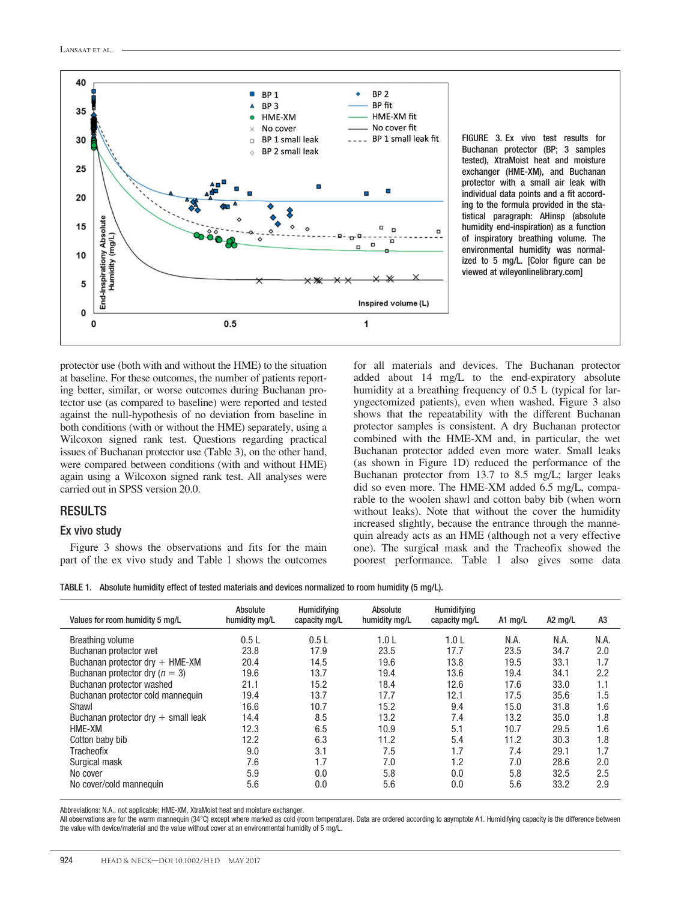

FIGURE 3. Ex vivo test results for Buchanan protector (BP; 3 samples tested), XtraMoist heat and moisture exchanger (HME-XM), and Buchanan protector with a small air leak with individual data points and a fit according to the formula provided in the statistical paragraph: AHinsp (absolute humidity end-inspiration) as a function of inspiratory breathing volume. The environmental humidity was normalized to 5 mg/L. [Color figure can be viewed at [wileyonlinelibrary.com\]](http://wileyonlinelibrary.com)

protector use (both with and without the HME) to the situation at baseline. For these outcomes, the number of patients reporting better, similar, or worse outcomes during Buchanan protector use (as compared to baseline) were reported and tested against the null-hypothesis of no deviation from baseline in both conditions (with or without the HME) separately, using a Wilcoxon signed rank test. Questions regarding practical issues of Buchanan protector use (Table 3), on the other hand, were compared between conditions (with and without HME) again using a Wilcoxon signed rank test. All analyses were carried out in SPSS version 20.0.

## RESULTS

#### Ex vivo study

Figure 3 shows the observations and fits for the main part of the ex vivo study and Table 1 shows the outcomes

for all materials and devices. The Buchanan protector added about 14 mg/L to the end-expiratory absolute humidity at a breathing frequency of 0.5 L (typical for laryngectomized patients), even when washed. Figure 3 also shows that the repeatability with the different Buchanan protector samples is consistent. A dry Buchanan protector combined with the HME-XM and, in particular, the wet Buchanan protector added even more water. Small leaks (as shown in Figure 1D) reduced the performance of the Buchanan protector from 13.7 to 8.5 mg/L; larger leaks did so even more. The HME-XM added 6.5 mg/L, comparable to the woolen shawl and cotton baby bib (when worn without leaks). Note that without the cover the humidity increased slightly, because the entrance through the mannequin already acts as an HME (although not a very effective one). The surgical mask and the Tracheofix showed the poorest performance. Table 1 also gives some data

TABLE 1. Absolute humidity effect of tested materials and devices normalized to room humidity (5 mg/L).

| Values for room humidity 5 mg/L                     | Absolute<br>humidity mg/L | Humidifying<br>capacity mg/L | Absolute<br>humidity mg/L | <b>Humidifying</b><br>capacity mg/L | A1 mg/L | A2 mg/L | A <sub>3</sub> |
|-----------------------------------------------------|---------------------------|------------------------------|---------------------------|-------------------------------------|---------|---------|----------------|
| Breathing volume                                    | 0.5L                      | 0.5L                         | 1.0 <sub>L</sub>          | 1.0 <sub>L</sub>                    | N.A.    | N.A.    | N.A.           |
| Buchanan protector wet                              | 23.8                      | 17.9                         | 23.5                      | 17.7                                | 23.5    | 34.7    | 2.0            |
| Buchanan protector $\text{dr}y + \text{HME-XM}$     | 20.4                      | 14.5                         | 19.6                      | 13.8                                | 19.5    | 33.1    | 1.7            |
| Buchanan protector dry ( $n = 3$ )                  | 19.6                      | 13.7                         | 19.4                      | 13.6                                | 19.4    | 34.1    | 2.2            |
| Buchanan protector washed                           | 21.1                      | 15.2                         | 18.4                      | 12.6                                | 17.6    | 33.0    | 1.1            |
| Buchanan protector cold mannequin                   | 19.4                      | 13.7                         | 17.7                      | 12.1                                | 17.5    | 35.6    | 1.5            |
| Shawl                                               | 16.6                      | 10.7                         | 15.2                      | 9.4                                 | 15.0    | 31.8    | 1.6            |
| Buchanan protector $\text{dr}y + \text{small}$ leak | 14.4                      | 8.5                          | 13.2                      | 7.4                                 | 13.2    | 35.0    | 1.8            |
| HME-XM                                              | 12.3                      | 6.5                          | 10.9                      | 5.1                                 | 10.7    | 29.5    | 1.6            |
| Cotton baby bib                                     | 12.2                      | 6.3                          | 11.2                      | 5.4                                 | 11.2    | 30.3    | 1.8            |
| Tracheofix                                          | 9.0                       | 3.1                          | 7.5                       | 1.7                                 | 7.4     | 29.1    | 1.7            |
| Surgical mask                                       | 7.6                       | 1.7                          | 7.0                       | 1.2                                 | 7.0     | 28.6    | 2.0            |
| No cover                                            | 5.9                       | 0.0                          | 5.8                       | 0.0                                 | 5.8     | 32.5    | 2.5            |
| No cover/cold mannequin                             | 5.6                       | 0.0                          | 5.6                       | 0.0                                 | 5.6     | 33.2    | 2.9            |

Abbreviations: N.A., not applicable; HME-XM, XtraMoist heat and moisture exchanger.

All observations are for the warm mannequin (34°C) except where marked as cold (room temperature). Data are ordered according to asymptote A1. Humidifying capacity is the difference between the value with device/material and the value without cover at an environmental humidity of 5 mg/L.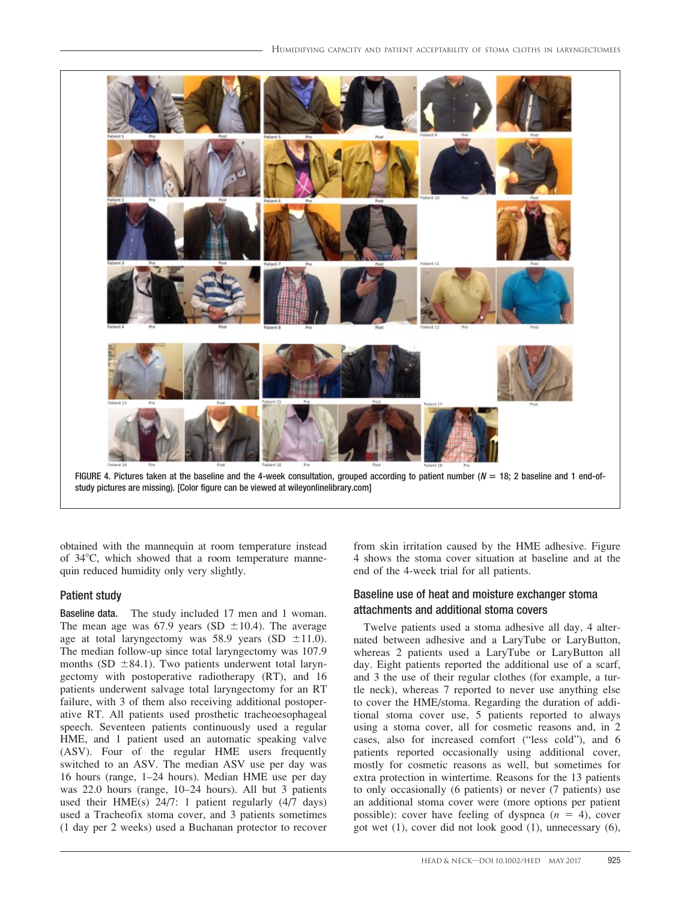

study pictures are missing). [Color figure can be viewed at [wileyonlinelibrary.com\]](http://wileyonlinelibrary.com)

obtained with the mannequin at room temperature instead of  $34^{\circ}$ C, which showed that a room temperature mannequin reduced humidity only very slightly.

## Patient study

Baseline data. The study included 17 men and 1 woman. The mean age was 67.9 years (SD  $\pm 10.4$ ). The average age at total laryngectomy was 58.9 years (SD  $\pm$ 11.0). The median follow-up since total laryngectomy was 107.9 months (SD  $\pm$ 84.1). Two patients underwent total laryngectomy with postoperative radiotherapy (RT), and 16 patients underwent salvage total laryngectomy for an RT failure, with 3 of them also receiving additional postoperative RT. All patients used prosthetic tracheoesophageal speech. Seventeen patients continuously used a regular HME, and 1 patient used an automatic speaking valve (ASV). Four of the regular HME users frequently switched to an ASV. The median ASV use per day was 16 hours (range, 1–24 hours). Median HME use per day was 22.0 hours (range, 10–24 hours). All but 3 patients used their HME(s) 24/7: 1 patient regularly (4/7 days) used a Tracheofix stoma cover, and 3 patients sometimes (1 day per 2 weeks) used a Buchanan protector to recover from skin irritation caused by the HME adhesive. Figure 4 shows the stoma cover situation at baseline and at the end of the 4-week trial for all patients.

## Baseline use of heat and moisture exchanger stoma attachments and additional stoma covers

Twelve patients used a stoma adhesive all day, 4 alternated between adhesive and a LaryTube or LaryButton, whereas 2 patients used a LaryTube or LaryButton all day. Eight patients reported the additional use of a scarf, and 3 the use of their regular clothes (for example, a turtle neck), whereas 7 reported to never use anything else to cover the HME/stoma. Regarding the duration of additional stoma cover use, 5 patients reported to always using a stoma cover, all for cosmetic reasons and, in 2 cases, also for increased comfort ("less cold"), and 6 patients reported occasionally using additional cover, mostly for cosmetic reasons as well, but sometimes for extra protection in wintertime. Reasons for the 13 patients to only occasionally (6 patients) or never (7 patients) use an additional stoma cover were (more options per patient possible): cover have feeling of dyspnea  $(n = 4)$ , cover got wet (1), cover did not look good (1), unnecessary (6),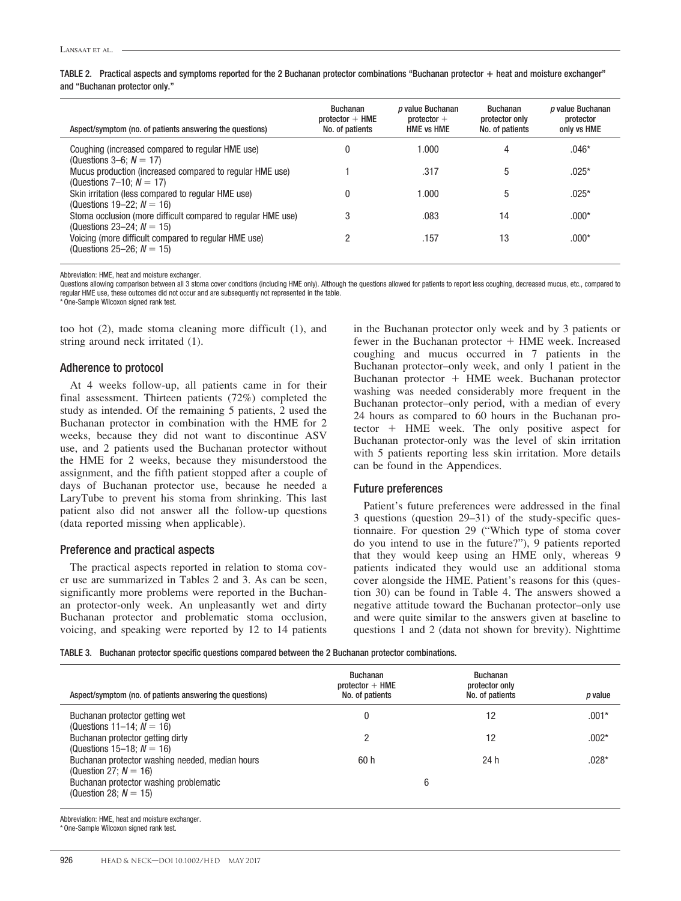TABLE 2. Practical aspects and symptoms reported for the 2 Buchanan protector combinations "Buchanan protector + heat and moisture exchanger" and "Buchanan protector only."

| Aspect/symptom (no. of patients answering the questions)                                     | <b>Buchanan</b><br>$protector + HME$<br>No. of patients | <i>p</i> value Buchanan<br>$protector +$<br><b>HME vs HME</b> | <b>Buchanan</b><br>protector only<br>No. of patients | p value Buchanan<br>protector<br>only vs HME |
|----------------------------------------------------------------------------------------------|---------------------------------------------------------|---------------------------------------------------------------|------------------------------------------------------|----------------------------------------------|
| Coughing (increased compared to regular HME use)<br>(Questions $3-6$ ; $N = 17$ )            |                                                         | 1.000                                                         | 4                                                    | $.046*$                                      |
| Mucus production (increased compared to regular HME use)<br>(Questions $7 - 10$ : $N = 17$ ) |                                                         | .317                                                          | 5                                                    | $.025*$                                      |
| Skin irritation (less compared to regular HME use)<br>(Questions 19–22; $N = 16$ )           | 0                                                       | 1.000                                                         | 5                                                    | $.025*$                                      |
| Stoma occlusion (more difficult compared to regular HME use)<br>(Questions 23–24; $N = 15$ ) | 3                                                       | .083                                                          | 14                                                   | $.000*$                                      |
| Voicing (more difficult compared to regular HME use)<br>(Questions 25–26; $N = 15$ )         |                                                         | .157                                                          | 13                                                   | $.000*$                                      |

Abbreviation: HME, heat and moisture exchanger.

Questions allowing comparison between all 3 stoma cover conditions (including HME only). Although the questions allowed for patients to report less coughing, decreased mucus, etc., compared to regular HME use, these outcomes did not occur and are subsequently not represented in the table.

\* One-Sample Wilcoxon signed rank test.

too hot (2), made stoma cleaning more difficult (1), and string around neck irritated (1).

#### Adherence to protocol

At 4 weeks follow-up, all patients came in for their final assessment. Thirteen patients (72%) completed the study as intended. Of the remaining 5 patients, 2 used the Buchanan protector in combination with the HME for 2 weeks, because they did not want to discontinue ASV use, and 2 patients used the Buchanan protector without the HME for 2 weeks, because they misunderstood the assignment, and the fifth patient stopped after a couple of days of Buchanan protector use, because he needed a LaryTube to prevent his stoma from shrinking. This last patient also did not answer all the follow-up questions (data reported missing when applicable).

#### Preference and practical aspects

The practical aspects reported in relation to stoma cover use are summarized in Tables 2 and 3. As can be seen, significantly more problems were reported in the Buchanan protector-only week. An unpleasantly wet and dirty Buchanan protector and problematic stoma occlusion, voicing, and speaking were reported by 12 to 14 patients

in the Buchanan protector only week and by 3 patients or fewer in the Buchanan protector  $+$  HME week. Increased coughing and mucus occurred in 7 patients in the Buchanan protector–only week, and only 1 patient in the Buchanan protector  $+$  HME week. Buchanan protector washing was needed considerably more frequent in the Buchanan protector–only period, with a median of every 24 hours as compared to 60 hours in the Buchanan protector + HME week. The only positive aspect for Buchanan protector-only was the level of skin irritation with 5 patients reporting less skin irritation. More details can be found in the Appendices.

#### Future preferences

Patient's future preferences were addressed in the final 3 questions (question 29–31) of the study-specific questionnaire. For question 29 ("Which type of stoma cover do you intend to use in the future?"), 9 patients reported that they would keep using an HME only, whereas 9 patients indicated they would use an additional stoma cover alongside the HME. Patient's reasons for this (question 30) can be found in Table 4. The answers showed a negative attitude toward the Buchanan protector–only use and were quite similar to the answers given at baseline to questions 1 and 2 (data not shown for brevity). Nighttime

TABLE 3. Buchanan protector specific questions compared between the 2 Buchanan protector combinations.

| Aspect/symptom (no. of patients answering the questions)                    | <b>Buchanan</b><br>$protector + HME$<br>No. of patients | <b>Buchanan</b><br>protector only<br>No. of patients | p value |
|-----------------------------------------------------------------------------|---------------------------------------------------------|------------------------------------------------------|---------|
| Buchanan protector getting wet<br>(Questions 11–14; $N = 16$ )              | 0                                                       | 12                                                   | $.001*$ |
| Buchanan protector getting dirty<br>(Questions 15–18; $N = 16$ )            | 2                                                       | 12                                                   | $.002*$ |
| Buchanan protector washing needed, median hours<br>(Question 27; $N = 16$ ) | 60 h                                                    | 24 h                                                 | $.028*$ |
| Buchanan protector washing problematic<br>(Question 28; $N = 15$ )          | 6                                                       |                                                      |         |

Abbreviation: HME, heat and moisture exchanger.

<sup>\*</sup> One-Sample Wilcoxon signed rank test.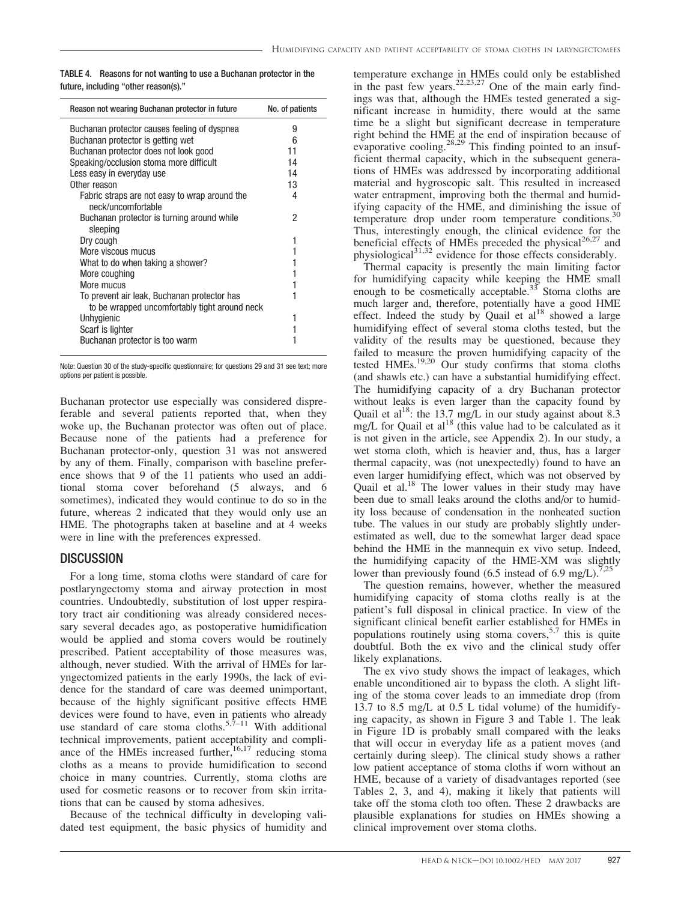TABLE 4. Reasons for not wanting to use a Buchanan protector in the future, including "other reason(s)."

| Reason not wearing Buchanan protector in future | No. of patients |
|-------------------------------------------------|-----------------|
| Buchanan protector causes feeling of dyspnea    | 9               |
| Buchanan protector is getting wet               | 6               |
| Buchanan protector does not look good           | 11              |
| Speaking/occlusion stoma more difficult         | 14              |
| Less easy in everyday use                       | 14              |
| Other reason                                    | 13              |
| Fabric straps are not easy to wrap around the   | 4               |
| neck/uncomfortable                              |                 |
| Buchanan protector is turning around while      | 2               |
| sleeping                                        |                 |
| Dry cough                                       | 1               |
| More viscous mucus                              |                 |
| What to do when taking a shower?                |                 |
| More coughing                                   |                 |
| More mucus                                      | 1               |
| To prevent air leak, Buchanan protector has     | 1               |
| to be wrapped uncomfortably tight around neck   |                 |
| Unhygienic                                      | 1               |
| Scarf is lighter                                |                 |
| Buchanan protector is too warm                  |                 |
|                                                 |                 |

Note: Question 30 of the study-specific questionnaire; for questions 29 and 31 see text; more options per patient is possible.

Buchanan protector use especially was considered dispreferable and several patients reported that, when they woke up, the Buchanan protector was often out of place. Because none of the patients had a preference for Buchanan protector-only, question 31 was not answered by any of them. Finally, comparison with baseline preference shows that 9 of the 11 patients who used an additional stoma cover beforehand (5 always, and 6 sometimes), indicated they would continue to do so in the future, whereas 2 indicated that they would only use an HME. The photographs taken at baseline and at 4 weeks were in line with the preferences expressed.

## **DISCUSSION**

For a long time, stoma cloths were standard of care for postlaryngectomy stoma and airway protection in most countries. Undoubtedly, substitution of lost upper respiratory tract air conditioning was already considered necessary several decades ago, as postoperative humidification would be applied and stoma covers would be routinely prescribed. Patient acceptability of those measures was, although, never studied. With the arrival of HMEs for laryngectomized patients in the early 1990s, the lack of evidence for the standard of care was deemed unimportant, because of the highly significant positive effects HME devices were found to have, even in patients who already use standard of care stoma cloths.<sup>5,7–11</sup> With additional technical improvements, patient acceptability and compliance of the HMEs increased further,  $16,17$  reducing stoma cloths as a means to provide humidification to second choice in many countries. Currently, stoma cloths are used for cosmetic reasons or to recover from skin irritations that can be caused by stoma adhesives.

Because of the technical difficulty in developing validated test equipment, the basic physics of humidity and temperature exchange in HMEs could only be established in the past few years.<sup>22,23,27</sup> One of the main early findings was that, although the HMEs tested generated a significant increase in humidity, there would at the same time be a slight but significant decrease in temperature right behind the HME at the end of inspiration because of evaporative cooling.<sup>28,29</sup> This finding pointed to an insufficient thermal capacity, which in the subsequent generations of HMEs was addressed by incorporating additional material and hygroscopic salt. This resulted in increased water entrapment, improving both the thermal and humidifying capacity of the HME, and diminishing the issue of temperature drop under room temperature conditions. $30$ Thus, interestingly enough, the clinical evidence for the beneficial effects of HMEs preceded the physical<sup>26,27</sup> and physiological $31,32$  evidence for those effects considerably.

Thermal capacity is presently the main limiting factor for humidifying capacity while keeping the HME small enough to be cosmetically acceptable. $33$  Stoma cloths are much larger and, therefore, potentially have a good HME effect. Indeed the study by Quail et  $al^{18}$  showed a large humidifying effect of several stoma cloths tested, but the validity of the results may be questioned, because they failed to measure the proven humidifying capacity of the tested HMEs.19,20 Our study confirms that stoma cloths (and shawls etc.) can have a substantial humidifying effect. The humidifying capacity of a dry Buchanan protector without leaks is even larger than the capacity found by Quail et al<sup>18</sup>: the 13.7 mg/L in our study against about 8.3 mg/L for Quail et al<sup>18</sup> (this value had to be calculated as it is not given in the article, see Appendix 2). In our study, a wet stoma cloth, which is heavier and, thus, has a larger thermal capacity, was (not unexpectedly) found to have an even larger humidifying effect, which was not observed by Quail et al.<sup>18</sup> The lower values in their study may have been due to small leaks around the cloths and/or to humidity loss because of condensation in the nonheated suction tube. The values in our study are probably slightly underestimated as well, due to the somewhat larger dead space behind the HME in the mannequin ex vivo setup. Indeed, the humidifying capacity of the HME-XM was slightly lower than previously found (6.5 instead of 6.9 mg/L).<sup>7,</sup>

The question remains, however, whether the measured humidifying capacity of stoma cloths really is at the patient's full disposal in clinical practice. In view of the significant clinical benefit earlier established for HMEs in populations routinely using stoma covers,  $5,7$  this is quite doubtful. Both the ex vivo and the clinical study offer likely explanations.

The ex vivo study shows the impact of leakages, which enable unconditioned air to bypass the cloth. A slight lifting of the stoma cover leads to an immediate drop (from 13.7 to 8.5 mg/L at 0.5 L tidal volume) of the humidifying capacity, as shown in Figure 3 and Table 1. The leak in Figure 1D is probably small compared with the leaks that will occur in everyday life as a patient moves (and certainly during sleep). The clinical study shows a rather low patient acceptance of stoma cloths if worn without an HME, because of a variety of disadvantages reported (see Tables 2, 3, and 4), making it likely that patients will take off the stoma cloth too often. These 2 drawbacks are plausible explanations for studies on HMEs showing a clinical improvement over stoma cloths.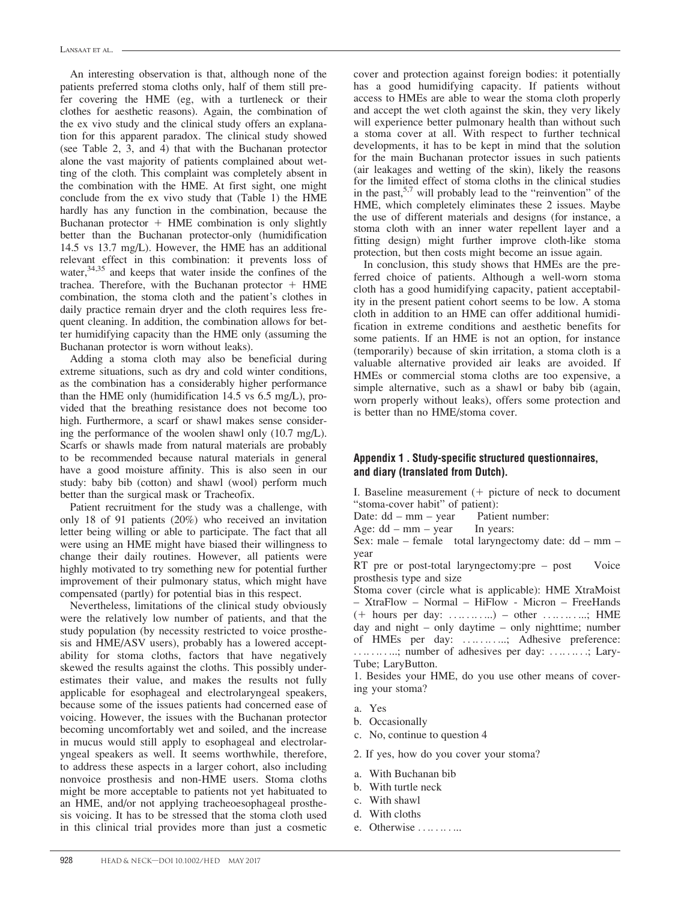An interesting observation is that, although none of the patients preferred stoma cloths only, half of them still prefer covering the HME (eg, with a turtleneck or their clothes for aesthetic reasons). Again, the combination of the ex vivo study and the clinical study offers an explanation for this apparent paradox. The clinical study showed (see Table 2, 3, and 4) that with the Buchanan protector alone the vast majority of patients complained about wetting of the cloth. This complaint was completely absent in the combination with the HME. At first sight, one might conclude from the ex vivo study that (Table 1) the HME hardly has any function in the combination, because the Buchanan protector  $+$  HME combination is only slightly better than the Buchanan protector-only (humidification 14.5 vs 13.7 mg/L). However, the HME has an additional relevant effect in this combination: it prevents loss of water,  $34,35$  and keeps that water inside the confines of the trachea. Therefore, with the Buchanan protector  $+$  HME combination, the stoma cloth and the patient's clothes in daily practice remain dryer and the cloth requires less frequent cleaning. In addition, the combination allows for better humidifying capacity than the HME only (assuming the Buchanan protector is worn without leaks).

Adding a stoma cloth may also be beneficial during extreme situations, such as dry and cold winter conditions, as the combination has a considerably higher performance than the HME only (humidification 14.5 vs 6.5 mg/L), provided that the breathing resistance does not become too high. Furthermore, a scarf or shawl makes sense considering the performance of the woolen shawl only (10.7 mg/L). Scarfs or shawls made from natural materials are probably to be recommended because natural materials in general have a good moisture affinity. This is also seen in our study: baby bib (cotton) and shawl (wool) perform much better than the surgical mask or Tracheofix.

Patient recruitment for the study was a challenge, with only 18 of 91 patients (20%) who received an invitation letter being willing or able to participate. The fact that all were using an HME might have biased their willingness to change their daily routines. However, all patients were highly motivated to try something new for potential further improvement of their pulmonary status, which might have compensated (partly) for potential bias in this respect.

Nevertheless, limitations of the clinical study obviously were the relatively low number of patients, and that the study population (by necessity restricted to voice prosthesis and HME/ASV users), probably has a lowered acceptability for stoma cloths, factors that have negatively skewed the results against the cloths. This possibly underestimates their value, and makes the results not fully applicable for esophageal and electrolaryngeal speakers, because some of the issues patients had concerned ease of voicing. However, the issues with the Buchanan protector becoming uncomfortably wet and soiled, and the increase in mucus would still apply to esophageal and electrolaryngeal speakers as well. It seems worthwhile, therefore, to address these aspects in a larger cohort, also including nonvoice prosthesis and non-HME users. Stoma cloths might be more acceptable to patients not yet habituated to an HME, and/or not applying tracheoesophageal prosthesis voicing. It has to be stressed that the stoma cloth used in this clinical trial provides more than just a cosmetic

cover and protection against foreign bodies: it potentially has a good humidifying capacity. If patients without access to HMEs are able to wear the stoma cloth properly and accept the wet cloth against the skin, they very likely will experience better pulmonary health than without such a stoma cover at all. With respect to further technical developments, it has to be kept in mind that the solution for the main Buchanan protector issues in such patients (air leakages and wetting of the skin), likely the reasons for the limited effect of stoma cloths in the clinical studies in the past,<sup>5,7</sup> will probably lead to the "reinvention" of the HME, which completely eliminates these 2 issues. Maybe the use of different materials and designs (for instance, a stoma cloth with an inner water repellent layer and a fitting design) might further improve cloth-like stoma protection, but then costs might become an issue again.

In conclusion, this study shows that HMEs are the preferred choice of patients. Although a well-worn stoma cloth has a good humidifying capacity, patient acceptability in the present patient cohort seems to be low. A stoma cloth in addition to an HME can offer additional humidification in extreme conditions and aesthetic benefits for some patients. If an HME is not an option, for instance (temporarily) because of skin irritation, a stoma cloth is a valuable alternative provided air leaks are avoided. If HMEs or commercial stoma cloths are too expensive, a simple alternative, such as a shawl or baby bib (again, worn properly without leaks), offers some protection and is better than no HME/stoma cover.

## Appendix 1 . Study-specific structured questionnaires, and diary (translated from Dutch).

I. Baseline measurement  $(+)$  picture of neck to document "stoma-cover habit" of patient):<br>Date: dd – mm – year Patient number:

Date:  $dd - mm - year$ 

Age:  $dd - mm - year$  In years:

Sex: male – female total laryngectomy date:  $dd - mm$ year

RT pre or post-total laryngectomy:pre – post Voice prosthesis type and size

Stoma cover (circle what is applicable): HME XtraMoist – XtraFlow – Normal – HiFlow - Micron – FreeHands (1 hours per day: . . .. . .. . ...) – other . . .. . .. . ...; HME day and night – only daytime – only nighttime; number of HMEs per day: . . .. . .. . ...; Adhesive preference: ............; number of adhesives per day: .........; Lary-Tube; LaryButton.

1. Besides your HME, do you use other means of covering your stoma?

- a. Yes
- b. Occasionally
- c. No, continue to question 4
- 2. If yes, how do you cover your stoma?
- a. With Buchanan bib
- b. With turtle neck
	- c. With shawl
	- d. With cloths
- e. Otherwise . . . . . . . . . .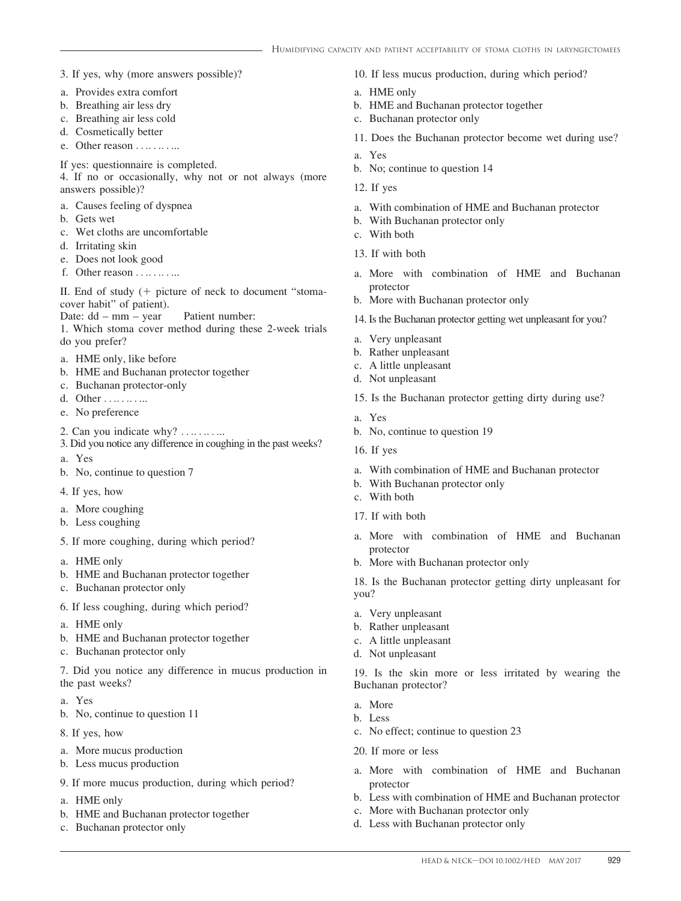- 3. If yes, why (more answers possible)?
- a. Provides extra comfort
- b. Breathing air less dry
- c. Breathing air less cold
- d. Cosmetically better
- e. Other reason . . . . . . . . . .
- If yes: questionnaire is completed.
- 4. If no or occasionally, why not or not always (more answers possible)?
- a. Causes feeling of dyspnea
- b. Gets wet
- c. Wet cloths are uncomfortable
- d. Irritating skin
- e. Does not look good
- f. Other reason  $\dots \dots$

II. End of study  $(+)$  picture of neck to document "stomacover habit" of patient).

- Date: dd mm year Patient number:
- 1. Which stoma cover method during these 2-week trials do you prefer?
- a. HME only, like before
- b. HME and Buchanan protector together
- c. Buchanan protector-only
- d. Other . . . . . . . . . .
- e. No preference
- 2. Can you indicate why?  $\dots$  .........

3. Did you notice any difference in coughing in the past weeks?

- a. Yes
- b. No, continue to question 7
- 4. If yes, how
- a. More coughing
- b. Less coughing
- 5. If more coughing, during which period?
- a. HME only
- b. HME and Buchanan protector together
- c. Buchanan protector only
- 6. If less coughing, during which period?
- a. HME only
- b. HME and Buchanan protector together
- c. Buchanan protector only

7. Did you notice any difference in mucus production in the past weeks?

- a. Yes
- b. No, continue to question 11
- 8. If yes, how
- a. More mucus production
- b. Less mucus production
- 9. If more mucus production, during which period?
- a. HME only
- b. HME and Buchanan protector together
- c. Buchanan protector only

10. If less mucus production, during which period?

- a. HME only
- b. HME and Buchanan protector together
- c. Buchanan protector only
- 11. Does the Buchanan protector become wet during use?
- a. Yes
- b. No; continue to question 14
- 12. If yes
- a. With combination of HME and Buchanan protector
- b. With Buchanan protector only
- c. With both
- 13. If with both
- a. More with combination of HME and Buchanan protector
- b. More with Buchanan protector only
- 14. Is the Buchanan protector getting wet unpleasant for you?
- a. Very unpleasant
- b. Rather unpleasant
- c. A little unpleasant
- d. Not unpleasant
- 15. Is the Buchanan protector getting dirty during use?
- a. Yes
- b. No, continue to question 19
- 16. If yes
- a. With combination of HME and Buchanan protector
- b. With Buchanan protector only
- c. With both
- 17. If with both
- a. More with combination of HME and Buchanan protector
- b. More with Buchanan protector only

18. Is the Buchanan protector getting dirty unpleasant for you?

- a. Very unpleasant
- b. Rather unpleasant
- c. A little unpleasant
- d. Not unpleasant

19. Is the skin more or less irritated by wearing the Buchanan protector?

- a. More
- b. Less
- c. No effect; continue to question 23
- 20. If more or less
- a. More with combination of HME and Buchanan protector
- b. Less with combination of HME and Buchanan protector
- c. More with Buchanan protector only
- d. Less with Buchanan protector only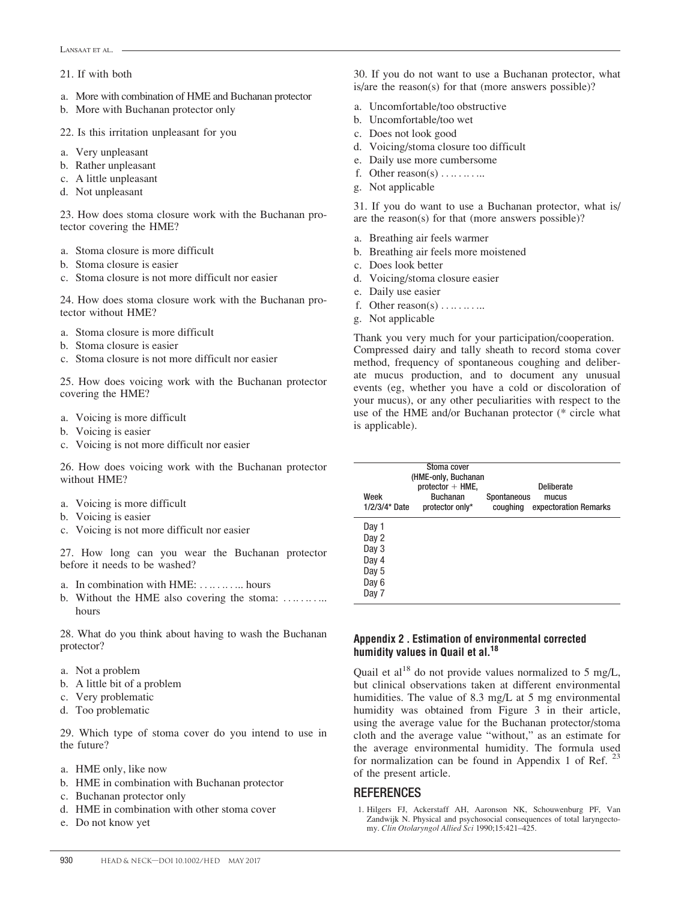#### 21. If with both

- a. More with combination of HME and Buchanan protector
- b. More with Buchanan protector only
- 22. Is this irritation unpleasant for you
- a. Very unpleasant
- b. Rather unpleasant
- c. A little unpleasant
- d. Not unpleasant

23. How does stoma closure work with the Buchanan protector covering the HME?

- a. Stoma closure is more difficult
- b. Stoma closure is easier
- c. Stoma closure is not more difficult nor easier

24. How does stoma closure work with the Buchanan protector without HME?

- a. Stoma closure is more difficult
- b. Stoma closure is easier
- c. Stoma closure is not more difficult nor easier

25. How does voicing work with the Buchanan protector covering the HME?

- a. Voicing is more difficult
- b. Voicing is easier
- c. Voicing is not more difficult nor easier

26. How does voicing work with the Buchanan protector without HME?

- a. Voicing is more difficult
- b. Voicing is easier
- c. Voicing is not more difficult nor easier

27. How long can you wear the Buchanan protector before it needs to be washed?

- a. In combination with HME: . . .. . .. . ... hours
- b. Without the HME also covering the stoma: ........... hours

28. What do you think about having to wash the Buchanan protector?

- a. Not a problem
- b. A little bit of a problem
- c. Very problematic
- d. Too problematic

29. Which type of stoma cover do you intend to use in the future?

- a. HME only, like now
- b. HME in combination with Buchanan protector
- c. Buchanan protector only
- d. HME in combination with other stoma cover
- e. Do not know yet

30. If you do not want to use a Buchanan protector, what is/are the reason(s) for that (more answers possible)?

- a. Uncomfortable/too obstructive
- b. Uncomfortable/too wet
- c. Does not look good
- d. Voicing/stoma closure too difficult
- e. Daily use more cumbersome
- f. Other reason(s)  $\dots$  ........
- g. Not applicable

31. If you do want to use a Buchanan protector, what is/ are the reason(s) for that (more answers possible)?

- a. Breathing air feels warmer
- b. Breathing air feels more moistened
- c. Does look better
- d. Voicing/stoma closure easier
- e. Daily use easier
- f. Other reason(s)  $\dots \dots$
- g. Not applicable

Thank you very much for your participation/cooperation. Compressed dairy and tally sheath to record stoma cover method, frequency of spontaneous coughing and deliberate mucus production, and to document any unusual events (eg, whether you have a cold or discoloration of your mucus), or any other peculiarities with respect to the use of the HME and/or Buchanan protector (\* circle what is applicable).

| Week<br>$1/2/3/4$ Date                                      | Stoma cover<br>(HME-only, Buchanan<br>$protector + HME$ ,<br><b>Buchanan</b><br>protector only* | Spontaneous<br>coughing | <b>Deliberate</b><br>mucus<br>expectoration Remarks |
|-------------------------------------------------------------|-------------------------------------------------------------------------------------------------|-------------------------|-----------------------------------------------------|
| Day 1<br>Day 2<br>Day 3<br>Day 4<br>Day 5<br>Day 6<br>Day 7 |                                                                                                 |                         |                                                     |

### Appendix 2 . Estimation of environmental corrected humidity values in Quail et al.<sup>18</sup>

Quail et al<sup>18</sup> do not provide values normalized to 5 mg/L, but clinical observations taken at different environmental humidities. The value of 8.3 mg/L at 5 mg environmental humidity was obtained from Figure 3 in their article, using the average value for the Buchanan protector/stoma cloth and the average value "without," as an estimate for the average environmental humidity. The formula used for normalization can be found in Appendix 1 of Ref.  $^{23}$ of the present article.

## REFERENCES

1. Hilgers FJ, Ackerstaff AH, Aaronson NK, Schouwenburg PF, Van Zandwijk N. Physical and psychosocial consequences of total laryngectomy. Clin Otolaryngol Allied Sci 1990;15:421–425.